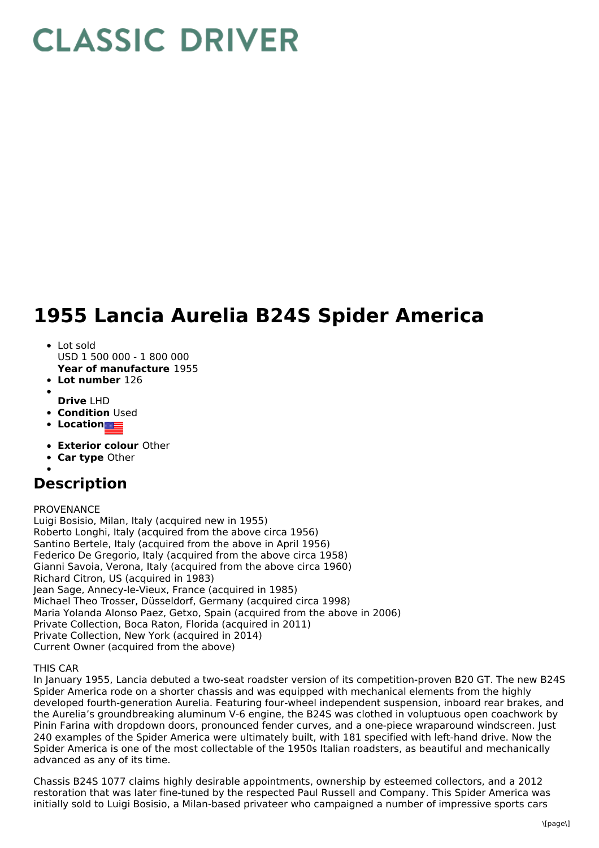# **CLASSIC DRIVER**

# **1955 Lancia Aurelia B24S Spider America**

- Lot sold
- USD 1 500 000 1 800 000
- **Year of manufacture** 1955
- **Lot number** 126
- **Drive** LHD
- **Condition Used**
- **Location**
- **Exterior colour** Other
- **Car type** Other
- 

## **Description**

#### PROVENANCE

Luigi Bosisio, Milan, Italy (acquired new in 1955) Roberto Longhi, Italy (acquired from the above circa 1956) Santino Bertele, Italy (acquired from the above in April 1956) Federico De Gregorio, Italy (acquired from the above circa 1958) Gianni Savoia, Verona, Italy (acquired from the above circa 1960) Richard Citron, US (acquired in 1983) Jean Sage, Annecy-le-Vieux, France (acquired in 1985) Michael Theo Trosser, Düsseldorf, Germany (acquired circa 1998) Maria Yolanda Alonso Paez, Getxo, Spain (acquired from the above in 2006) Private Collection, Boca Raton, Florida (acquired in 2011) Private Collection, New York (acquired in 2014) Current Owner (acquired from the above)

### THIS CAR

In January 1955, Lancia debuted a two-seat roadster version of its competition-proven B20 GT. The new B24S Spider America rode on a shorter chassis and was equipped with mechanical elements from the highly developed fourth-generation Aurelia. Featuring four-wheel independent suspension, inboard rear brakes, and the Aurelia's groundbreaking aluminum V-6 engine, the B24S was clothed in voluptuous open coachwork by Pinin Farina with dropdown doors, pronounced fender curves, and a one-piece wraparound windscreen. Just 240 examples of the Spider America were ultimately built, with 181 specified with left-hand drive. Now the Spider America is one of the most collectable of the 1950s Italian roadsters, as beautiful and mechanically advanced as any of its time.

Chassis B24S 1077 claims highly desirable appointments, ownership by esteemed collectors, and a 2012 restoration that was later fine-tuned by the respected Paul Russell and Company. This Spider America was initially sold to Luigi Bosisio, a Milan-based privateer who campaigned a number of impressive sports cars